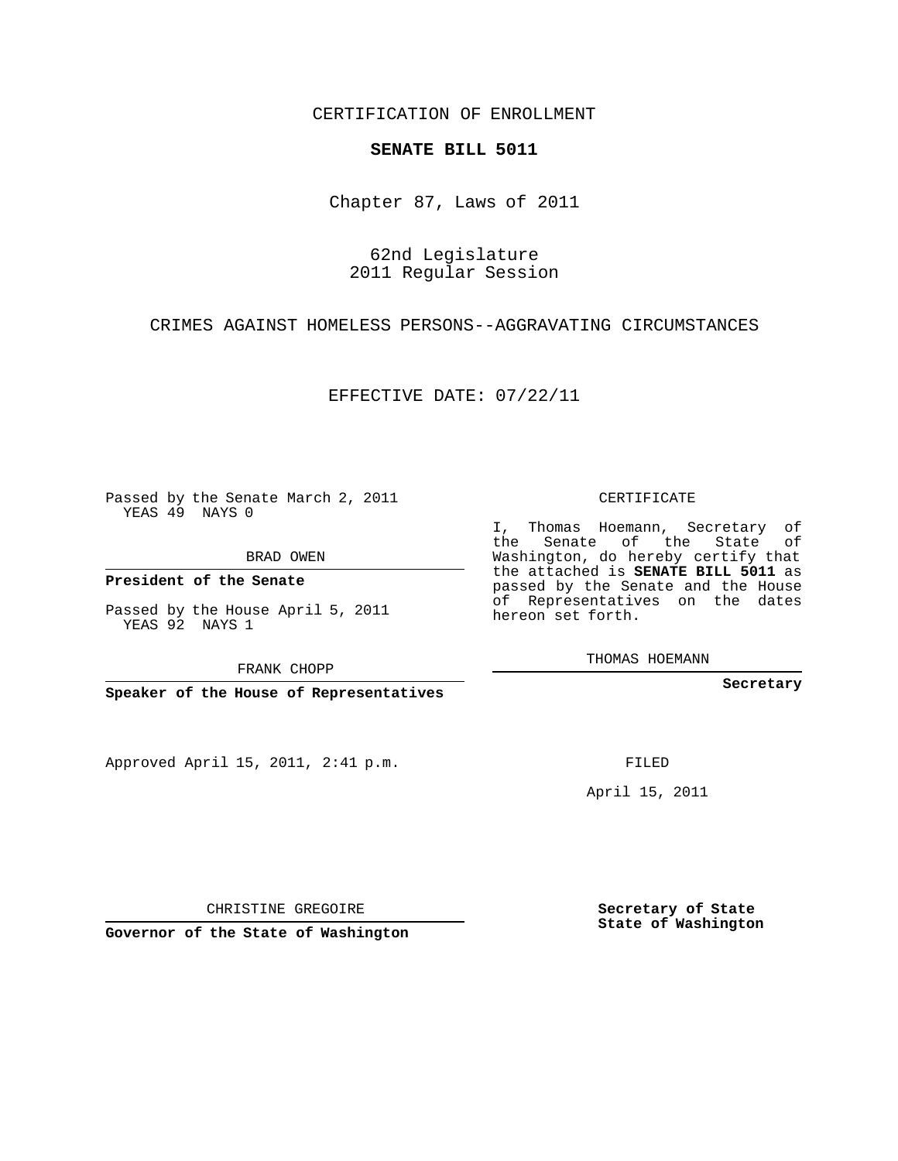CERTIFICATION OF ENROLLMENT

## **SENATE BILL 5011**

Chapter 87, Laws of 2011

62nd Legislature 2011 Regular Session

CRIMES AGAINST HOMELESS PERSONS--AGGRAVATING CIRCUMSTANCES

EFFECTIVE DATE: 07/22/11

Passed by the Senate March 2, 2011 YEAS 49 NAYS 0

BRAD OWEN

**President of the Senate**

Passed by the House April 5, 2011 YEAS 92 NAYS 1

FRANK CHOPP

**Speaker of the House of Representatives**

Approved April 15, 2011, 2:41 p.m.

CERTIFICATE

I, Thomas Hoemann, Secretary of the Senate of the State of Washington, do hereby certify that the attached is **SENATE BILL 5011** as passed by the Senate and the House of Representatives on the dates hereon set forth.

THOMAS HOEMANN

**Secretary**

FILED

April 15, 2011

CHRISTINE GREGOIRE

**Governor of the State of Washington**

**Secretary of State State of Washington**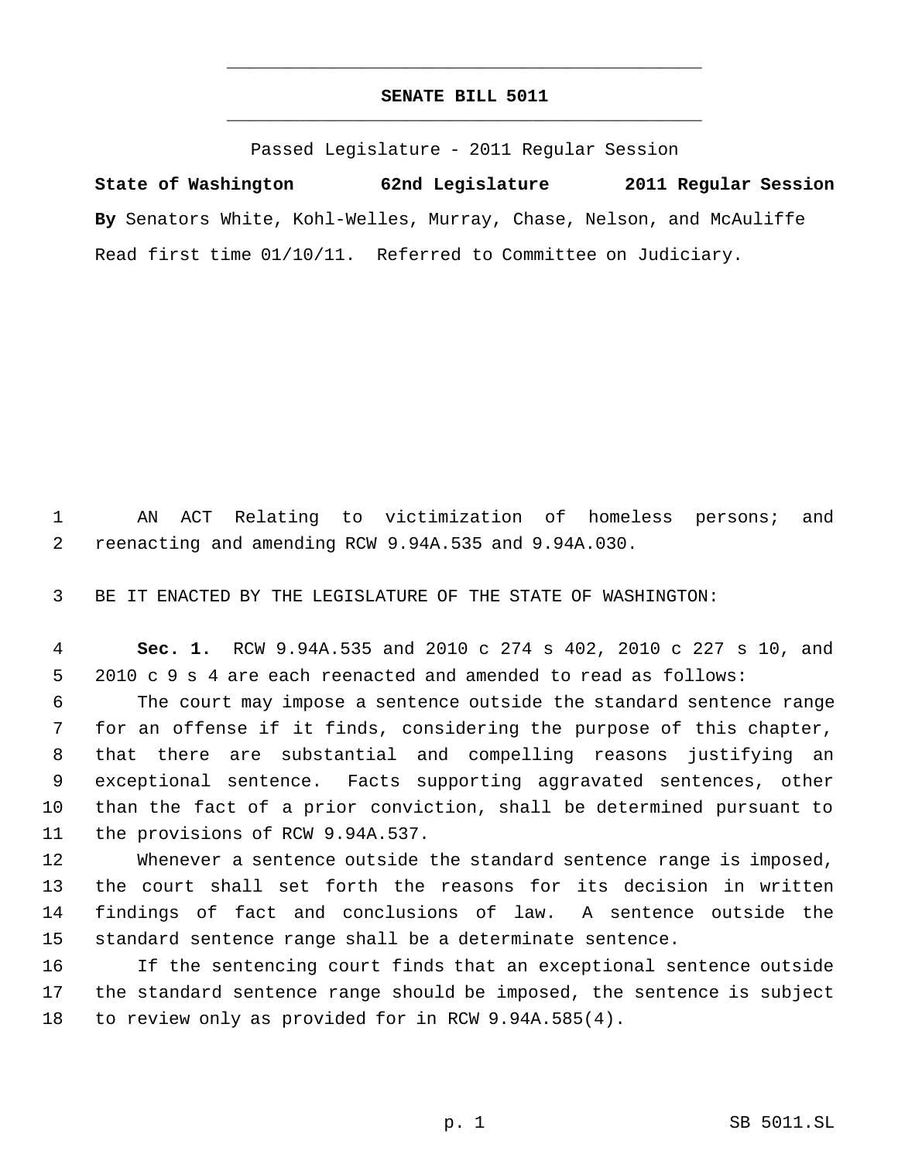## **SENATE BILL 5011** \_\_\_\_\_\_\_\_\_\_\_\_\_\_\_\_\_\_\_\_\_\_\_\_\_\_\_\_\_\_\_\_\_\_\_\_\_\_\_\_\_\_\_\_\_

\_\_\_\_\_\_\_\_\_\_\_\_\_\_\_\_\_\_\_\_\_\_\_\_\_\_\_\_\_\_\_\_\_\_\_\_\_\_\_\_\_\_\_\_\_

Passed Legislature - 2011 Regular Session

**State of Washington 62nd Legislature 2011 Regular Session By** Senators White, Kohl-Welles, Murray, Chase, Nelson, and McAuliffe Read first time 01/10/11. Referred to Committee on Judiciary.

 AN ACT Relating to victimization of homeless persons; and reenacting and amending RCW 9.94A.535 and 9.94A.030.

BE IT ENACTED BY THE LEGISLATURE OF THE STATE OF WASHINGTON:

 **Sec. 1.** RCW 9.94A.535 and 2010 c 274 s 402, 2010 c 227 s 10, and 2010 c 9 s 4 are each reenacted and amended to read as follows:

 The court may impose a sentence outside the standard sentence range for an offense if it finds, considering the purpose of this chapter, that there are substantial and compelling reasons justifying an exceptional sentence. Facts supporting aggravated sentences, other than the fact of a prior conviction, shall be determined pursuant to the provisions of RCW 9.94A.537.

 Whenever a sentence outside the standard sentence range is imposed, the court shall set forth the reasons for its decision in written findings of fact and conclusions of law. A sentence outside the standard sentence range shall be a determinate sentence.

 If the sentencing court finds that an exceptional sentence outside the standard sentence range should be imposed, the sentence is subject to review only as provided for in RCW 9.94A.585(4).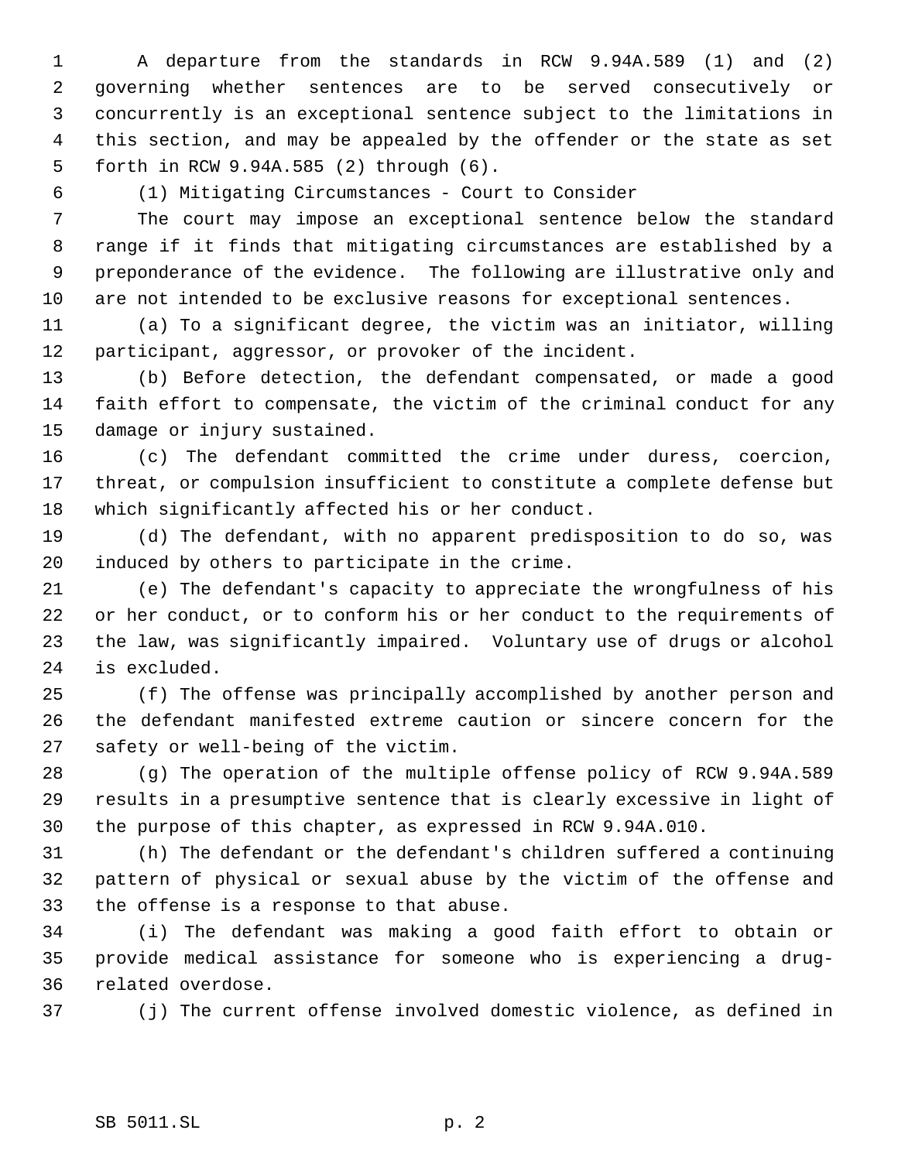A departure from the standards in RCW 9.94A.589 (1) and (2) governing whether sentences are to be served consecutively or concurrently is an exceptional sentence subject to the limitations in this section, and may be appealed by the offender or the state as set forth in RCW 9.94A.585 (2) through (6).

(1) Mitigating Circumstances - Court to Consider

 The court may impose an exceptional sentence below the standard range if it finds that mitigating circumstances are established by a preponderance of the evidence. The following are illustrative only and are not intended to be exclusive reasons for exceptional sentences.

 (a) To a significant degree, the victim was an initiator, willing participant, aggressor, or provoker of the incident.

 (b) Before detection, the defendant compensated, or made a good faith effort to compensate, the victim of the criminal conduct for any damage or injury sustained.

 (c) The defendant committed the crime under duress, coercion, threat, or compulsion insufficient to constitute a complete defense but which significantly affected his or her conduct.

 (d) The defendant, with no apparent predisposition to do so, was induced by others to participate in the crime.

 (e) The defendant's capacity to appreciate the wrongfulness of his or her conduct, or to conform his or her conduct to the requirements of the law, was significantly impaired. Voluntary use of drugs or alcohol is excluded.

 (f) The offense was principally accomplished by another person and the defendant manifested extreme caution or sincere concern for the safety or well-being of the victim.

 (g) The operation of the multiple offense policy of RCW 9.94A.589 results in a presumptive sentence that is clearly excessive in light of the purpose of this chapter, as expressed in RCW 9.94A.010.

 (h) The defendant or the defendant's children suffered a continuing pattern of physical or sexual abuse by the victim of the offense and the offense is a response to that abuse.

 (i) The defendant was making a good faith effort to obtain or provide medical assistance for someone who is experiencing a drug-related overdose.

(j) The current offense involved domestic violence, as defined in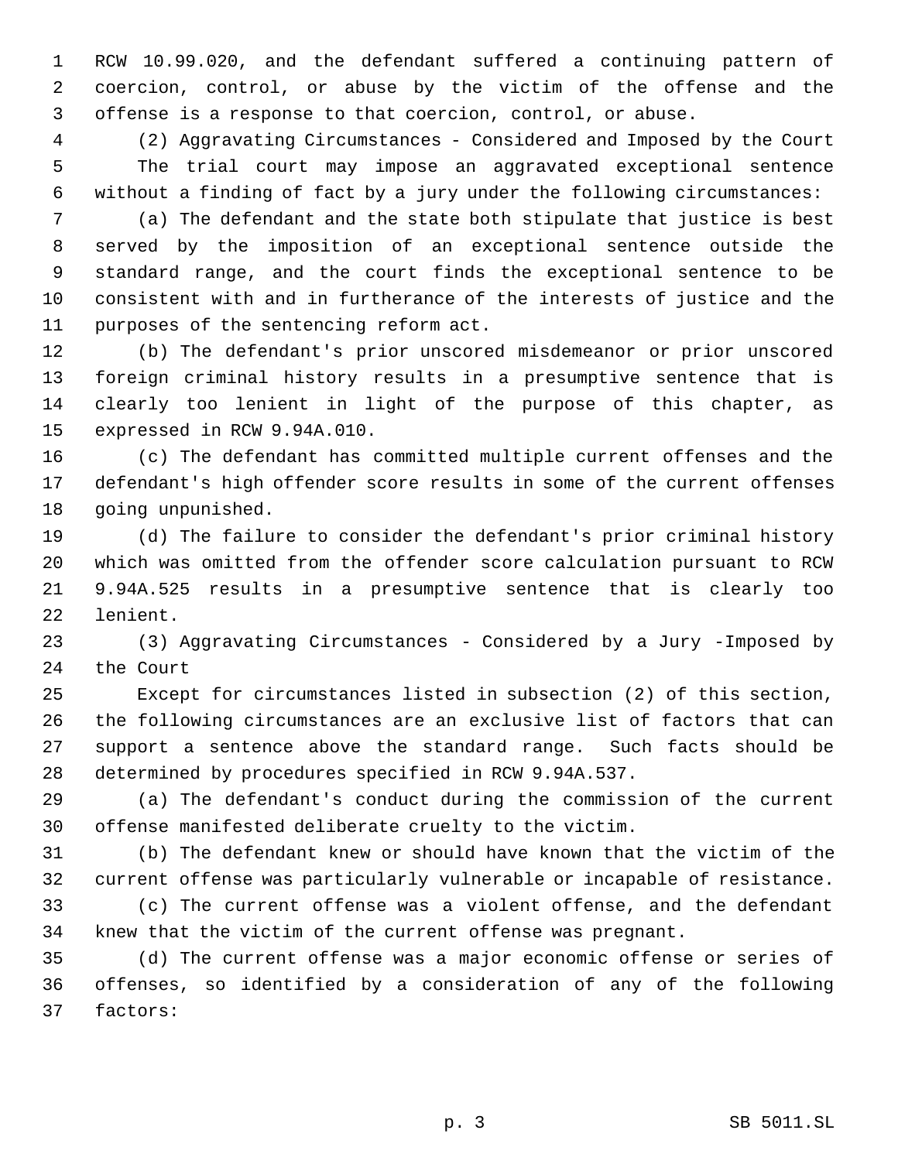RCW 10.99.020, and the defendant suffered a continuing pattern of coercion, control, or abuse by the victim of the offense and the offense is a response to that coercion, control, or abuse.

 (2) Aggravating Circumstances - Considered and Imposed by the Court The trial court may impose an aggravated exceptional sentence without a finding of fact by a jury under the following circumstances:

 (a) The defendant and the state both stipulate that justice is best served by the imposition of an exceptional sentence outside the standard range, and the court finds the exceptional sentence to be consistent with and in furtherance of the interests of justice and the purposes of the sentencing reform act.

 (b) The defendant's prior unscored misdemeanor or prior unscored foreign criminal history results in a presumptive sentence that is clearly too lenient in light of the purpose of this chapter, as expressed in RCW 9.94A.010.

 (c) The defendant has committed multiple current offenses and the defendant's high offender score results in some of the current offenses going unpunished.

 (d) The failure to consider the defendant's prior criminal history which was omitted from the offender score calculation pursuant to RCW 9.94A.525 results in a presumptive sentence that is clearly too lenient.

 (3) Aggravating Circumstances - Considered by a Jury -Imposed by the Court

 Except for circumstances listed in subsection (2) of this section, the following circumstances are an exclusive list of factors that can support a sentence above the standard range. Such facts should be determined by procedures specified in RCW 9.94A.537.

 (a) The defendant's conduct during the commission of the current offense manifested deliberate cruelty to the victim.

 (b) The defendant knew or should have known that the victim of the current offense was particularly vulnerable or incapable of resistance.

 (c) The current offense was a violent offense, and the defendant knew that the victim of the current offense was pregnant.

 (d) The current offense was a major economic offense or series of offenses, so identified by a consideration of any of the following factors: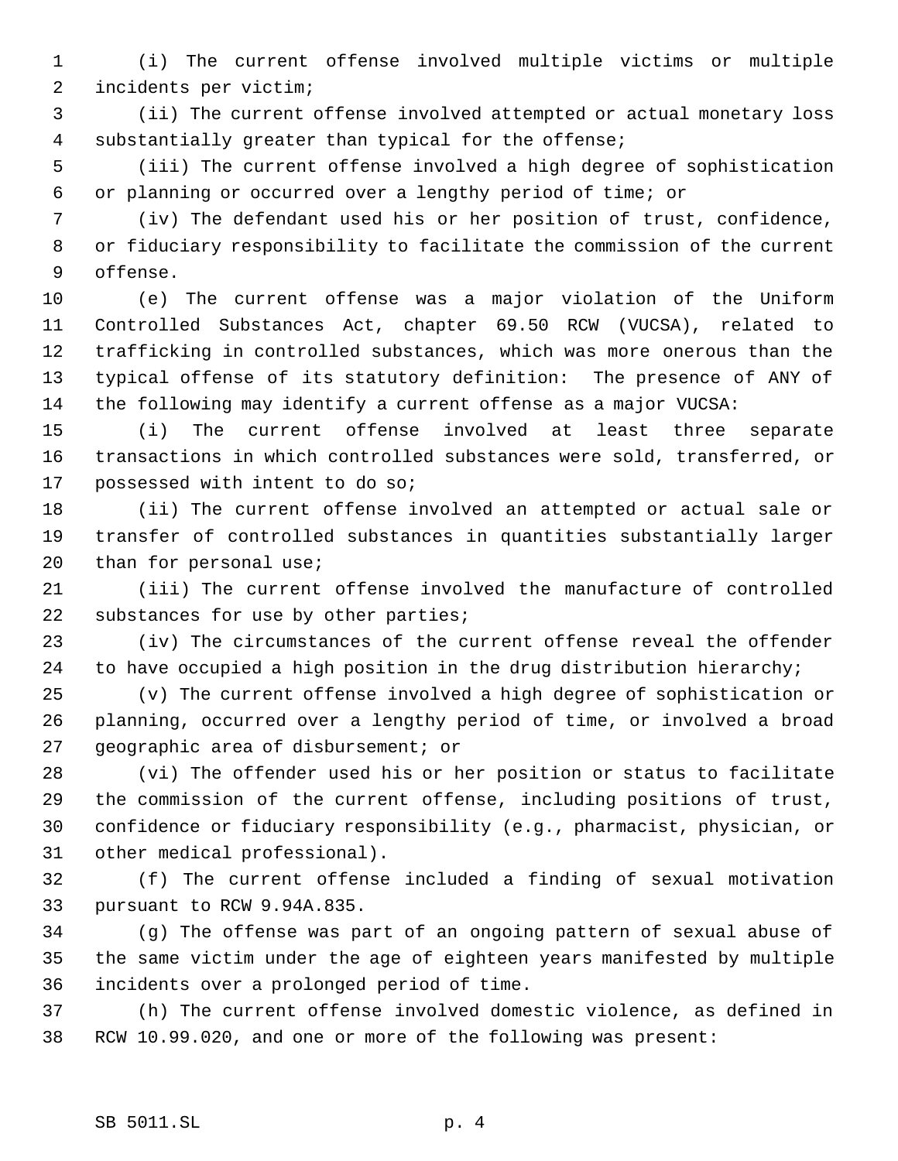(i) The current offense involved multiple victims or multiple incidents per victim;

 (ii) The current offense involved attempted or actual monetary loss substantially greater than typical for the offense;

 (iii) The current offense involved a high degree of sophistication or planning or occurred over a lengthy period of time; or

 (iv) The defendant used his or her position of trust, confidence, or fiduciary responsibility to facilitate the commission of the current offense.

 (e) The current offense was a major violation of the Uniform Controlled Substances Act, chapter 69.50 RCW (VUCSA), related to trafficking in controlled substances, which was more onerous than the typical offense of its statutory definition: The presence of ANY of the following may identify a current offense as a major VUCSA:

 (i) The current offense involved at least three separate transactions in which controlled substances were sold, transferred, or possessed with intent to do so;

 (ii) The current offense involved an attempted or actual sale or transfer of controlled substances in quantities substantially larger than for personal use;

 (iii) The current offense involved the manufacture of controlled substances for use by other parties;

 (iv) The circumstances of the current offense reveal the offender to have occupied a high position in the drug distribution hierarchy;

 (v) The current offense involved a high degree of sophistication or planning, occurred over a lengthy period of time, or involved a broad geographic area of disbursement; or

 (vi) The offender used his or her position or status to facilitate the commission of the current offense, including positions of trust, confidence or fiduciary responsibility (e.g., pharmacist, physician, or other medical professional).

 (f) The current offense included a finding of sexual motivation pursuant to RCW 9.94A.835.

 (g) The offense was part of an ongoing pattern of sexual abuse of the same victim under the age of eighteen years manifested by multiple incidents over a prolonged period of time.

 (h) The current offense involved domestic violence, as defined in RCW 10.99.020, and one or more of the following was present: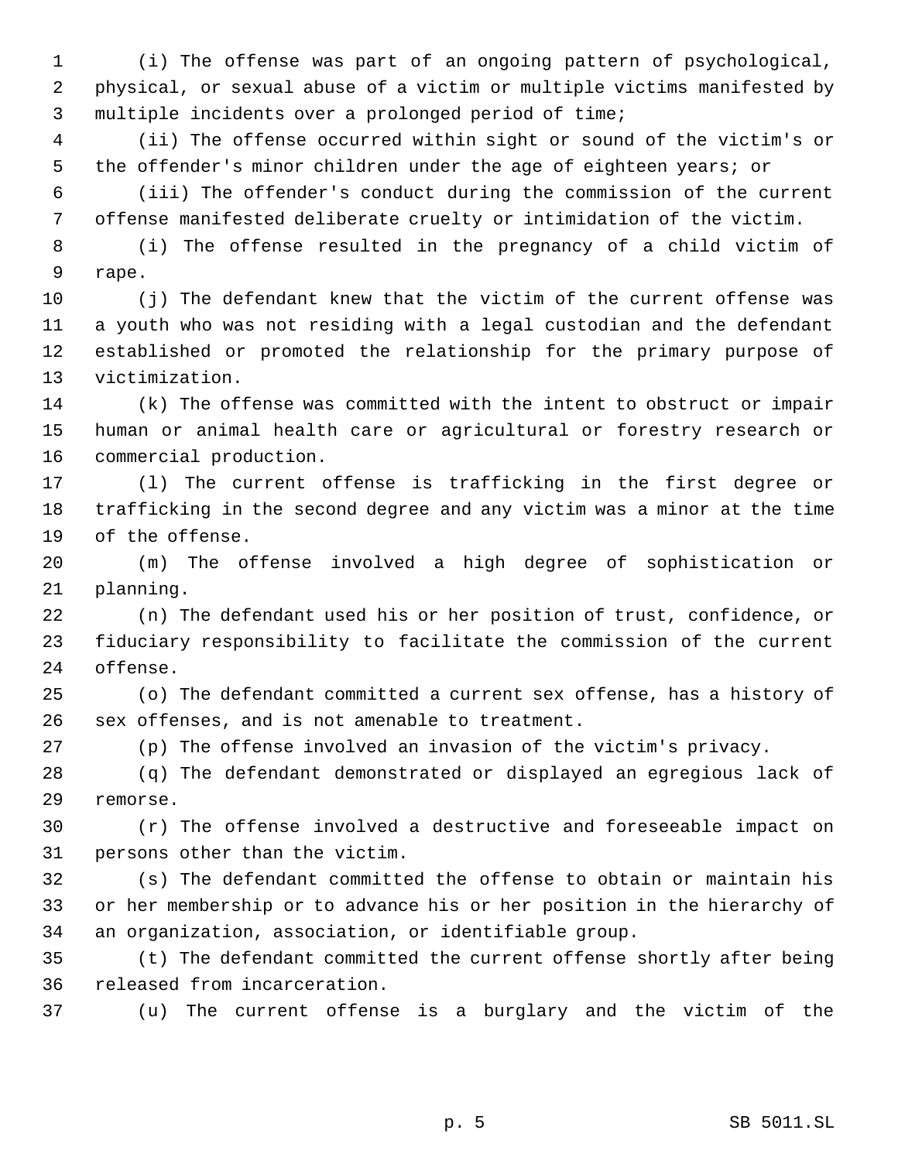(i) The offense was part of an ongoing pattern of psychological, physical, or sexual abuse of a victim or multiple victims manifested by multiple incidents over a prolonged period of time;

 (ii) The offense occurred within sight or sound of the victim's or the offender's minor children under the age of eighteen years; or

 (iii) The offender's conduct during the commission of the current offense manifested deliberate cruelty or intimidation of the victim.

 (i) The offense resulted in the pregnancy of a child victim of rape.

 (j) The defendant knew that the victim of the current offense was a youth who was not residing with a legal custodian and the defendant established or promoted the relationship for the primary purpose of victimization.

 (k) The offense was committed with the intent to obstruct or impair human or animal health care or agricultural or forestry research or commercial production.

 (l) The current offense is trafficking in the first degree or trafficking in the second degree and any victim was a minor at the time of the offense.

 (m) The offense involved a high degree of sophistication or planning.

 (n) The defendant used his or her position of trust, confidence, or fiduciary responsibility to facilitate the commission of the current offense.

 (o) The defendant committed a current sex offense, has a history of sex offenses, and is not amenable to treatment.

(p) The offense involved an invasion of the victim's privacy.

 (q) The defendant demonstrated or displayed an egregious lack of remorse.

 (r) The offense involved a destructive and foreseeable impact on persons other than the victim.

 (s) The defendant committed the offense to obtain or maintain his or her membership or to advance his or her position in the hierarchy of an organization, association, or identifiable group.

 (t) The defendant committed the current offense shortly after being released from incarceration.

(u) The current offense is a burglary and the victim of the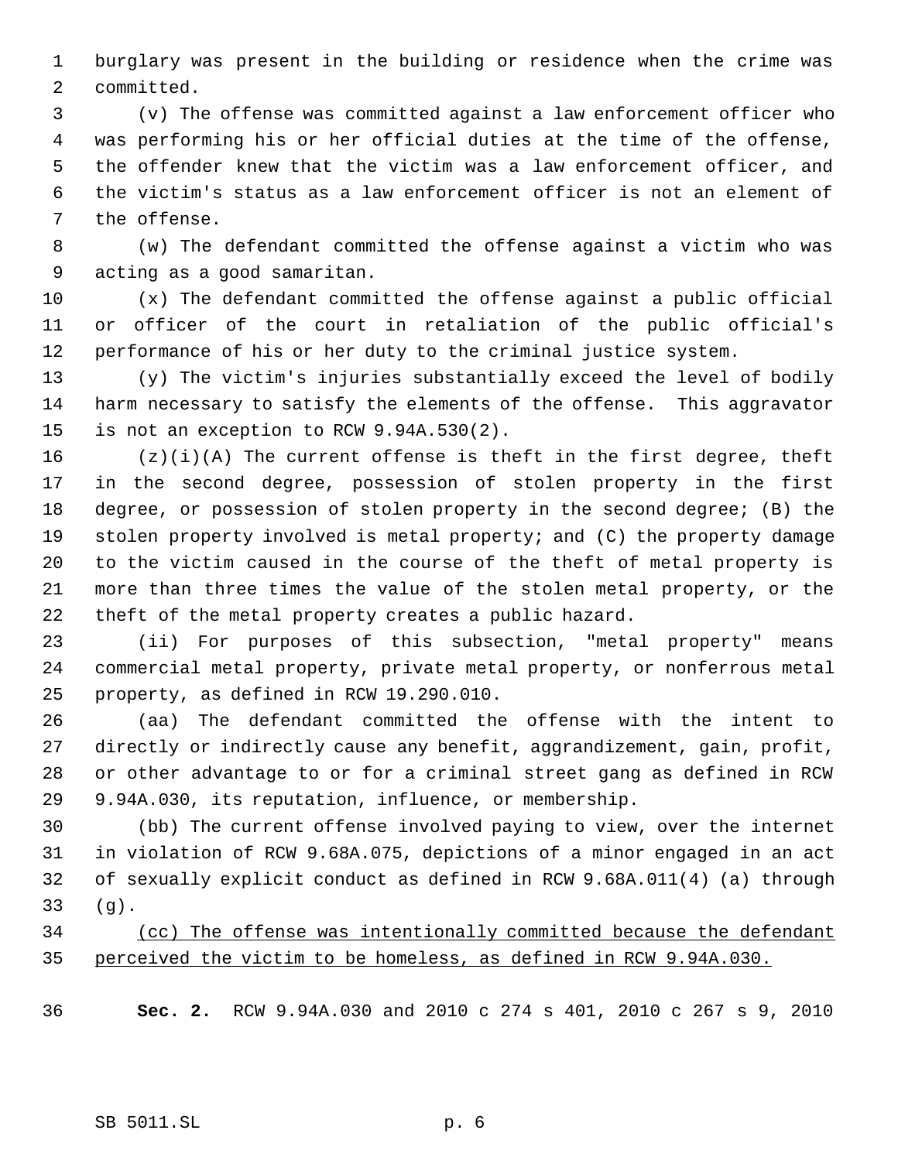burglary was present in the building or residence when the crime was committed.

 (v) The offense was committed against a law enforcement officer who was performing his or her official duties at the time of the offense, the offender knew that the victim was a law enforcement officer, and the victim's status as a law enforcement officer is not an element of the offense.

 (w) The defendant committed the offense against a victim who was acting as a good samaritan.

 (x) The defendant committed the offense against a public official or officer of the court in retaliation of the public official's performance of his or her duty to the criminal justice system.

 (y) The victim's injuries substantially exceed the level of bodily harm necessary to satisfy the elements of the offense. This aggravator is not an exception to RCW 9.94A.530(2).

 (z)(i)(A) The current offense is theft in the first degree, theft in the second degree, possession of stolen property in the first degree, or possession of stolen property in the second degree; (B) the stolen property involved is metal property; and (C) the property damage to the victim caused in the course of the theft of metal property is more than three times the value of the stolen metal property, or the theft of the metal property creates a public hazard.

 (ii) For purposes of this subsection, "metal property" means commercial metal property, private metal property, or nonferrous metal property, as defined in RCW 19.290.010.

 (aa) The defendant committed the offense with the intent to directly or indirectly cause any benefit, aggrandizement, gain, profit, or other advantage to or for a criminal street gang as defined in RCW 9.94A.030, its reputation, influence, or membership.

 (bb) The current offense involved paying to view, over the internet in violation of RCW 9.68A.075, depictions of a minor engaged in an act of sexually explicit conduct as defined in RCW 9.68A.011(4) (a) through (g).

 (cc) The offense was intentionally committed because the defendant perceived the victim to be homeless, as defined in RCW 9.94A.030.

**Sec. 2.** RCW 9.94A.030 and 2010 c 274 s 401, 2010 c 267 s 9, 2010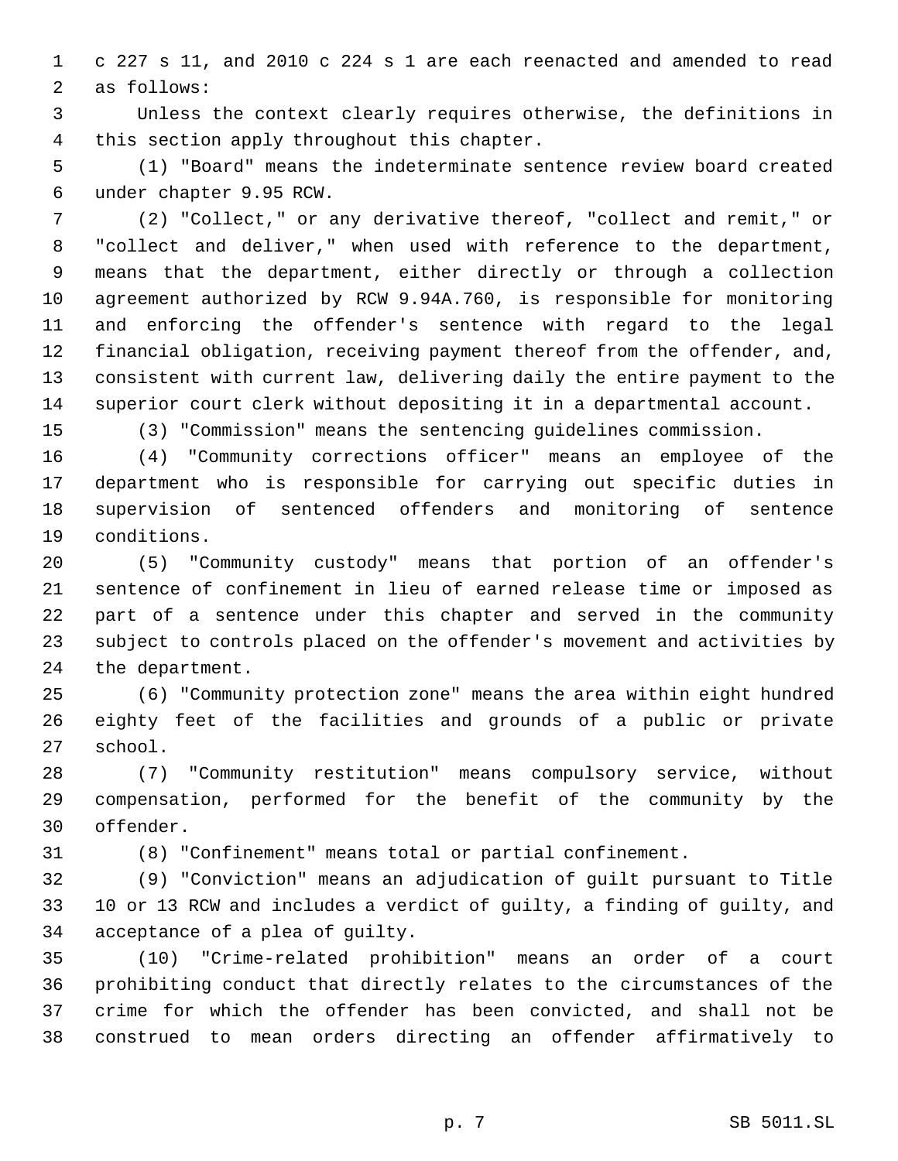c 227 s 11, and 2010 c 224 s 1 are each reenacted and amended to read as follows:

 Unless the context clearly requires otherwise, the definitions in this section apply throughout this chapter.

 (1) "Board" means the indeterminate sentence review board created under chapter 9.95 RCW.

 (2) "Collect," or any derivative thereof, "collect and remit," or "collect and deliver," when used with reference to the department, means that the department, either directly or through a collection agreement authorized by RCW 9.94A.760, is responsible for monitoring and enforcing the offender's sentence with regard to the legal financial obligation, receiving payment thereof from the offender, and, consistent with current law, delivering daily the entire payment to the superior court clerk without depositing it in a departmental account.

(3) "Commission" means the sentencing guidelines commission.

 (4) "Community corrections officer" means an employee of the department who is responsible for carrying out specific duties in supervision of sentenced offenders and monitoring of sentence conditions.

 (5) "Community custody" means that portion of an offender's sentence of confinement in lieu of earned release time or imposed as part of a sentence under this chapter and served in the community subject to controls placed on the offender's movement and activities by the department.

 (6) "Community protection zone" means the area within eight hundred eighty feet of the facilities and grounds of a public or private school.

 (7) "Community restitution" means compulsory service, without compensation, performed for the benefit of the community by the offender.

(8) "Confinement" means total or partial confinement.

 (9) "Conviction" means an adjudication of guilt pursuant to Title 10 or 13 RCW and includes a verdict of guilty, a finding of guilty, and acceptance of a plea of guilty.

 (10) "Crime-related prohibition" means an order of a court prohibiting conduct that directly relates to the circumstances of the crime for which the offender has been convicted, and shall not be construed to mean orders directing an offender affirmatively to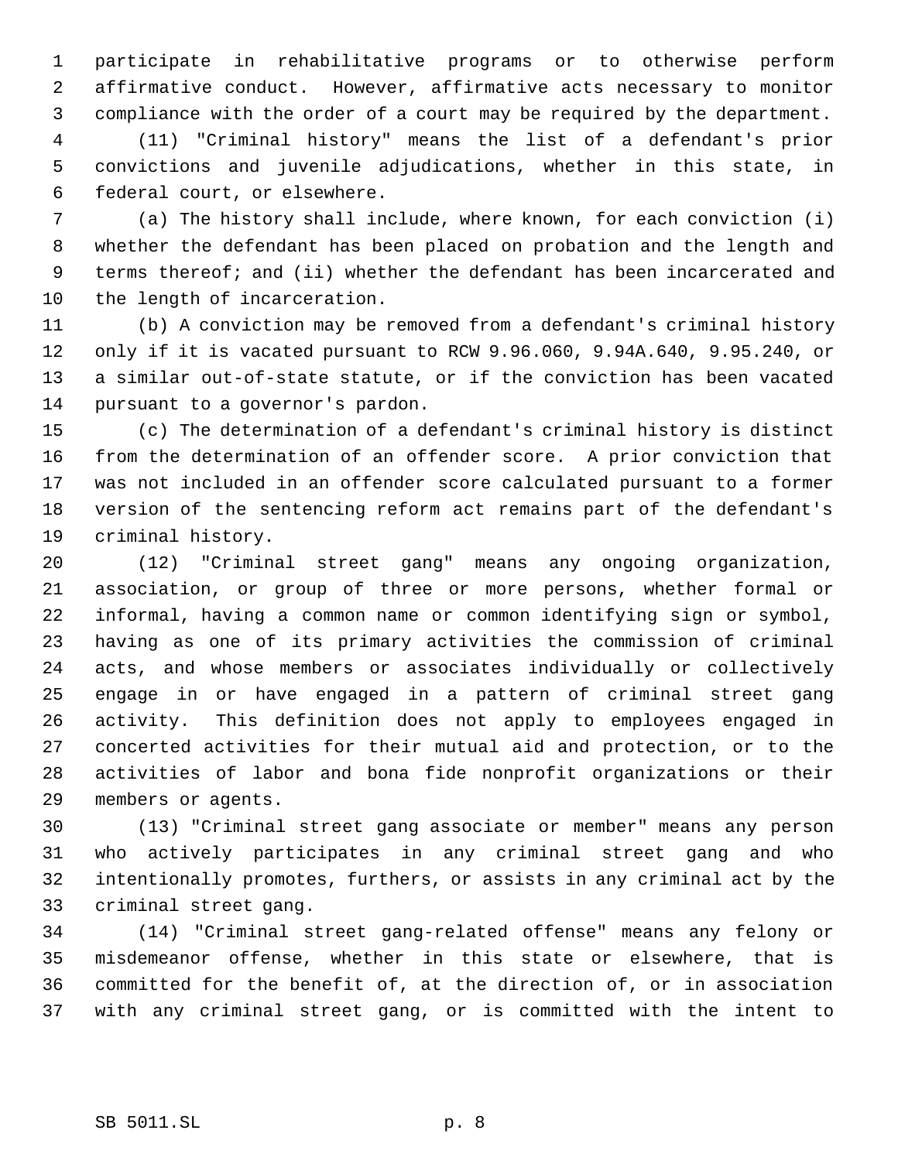participate in rehabilitative programs or to otherwise perform affirmative conduct. However, affirmative acts necessary to monitor compliance with the order of a court may be required by the department.

 (11) "Criminal history" means the list of a defendant's prior convictions and juvenile adjudications, whether in this state, in federal court, or elsewhere.

 (a) The history shall include, where known, for each conviction (i) whether the defendant has been placed on probation and the length and 9 terms thereof; and (ii) whether the defendant has been incarcerated and the length of incarceration.

 (b) A conviction may be removed from a defendant's criminal history only if it is vacated pursuant to RCW 9.96.060, 9.94A.640, 9.95.240, or a similar out-of-state statute, or if the conviction has been vacated pursuant to a governor's pardon.

 (c) The determination of a defendant's criminal history is distinct from the determination of an offender score. A prior conviction that was not included in an offender score calculated pursuant to a former version of the sentencing reform act remains part of the defendant's criminal history.

 (12) "Criminal street gang" means any ongoing organization, association, or group of three or more persons, whether formal or informal, having a common name or common identifying sign or symbol, having as one of its primary activities the commission of criminal acts, and whose members or associates individually or collectively engage in or have engaged in a pattern of criminal street gang activity. This definition does not apply to employees engaged in concerted activities for their mutual aid and protection, or to the activities of labor and bona fide nonprofit organizations or their members or agents.

 (13) "Criminal street gang associate or member" means any person who actively participates in any criminal street gang and who intentionally promotes, furthers, or assists in any criminal act by the criminal street gang.

 (14) "Criminal street gang-related offense" means any felony or misdemeanor offense, whether in this state or elsewhere, that is committed for the benefit of, at the direction of, or in association with any criminal street gang, or is committed with the intent to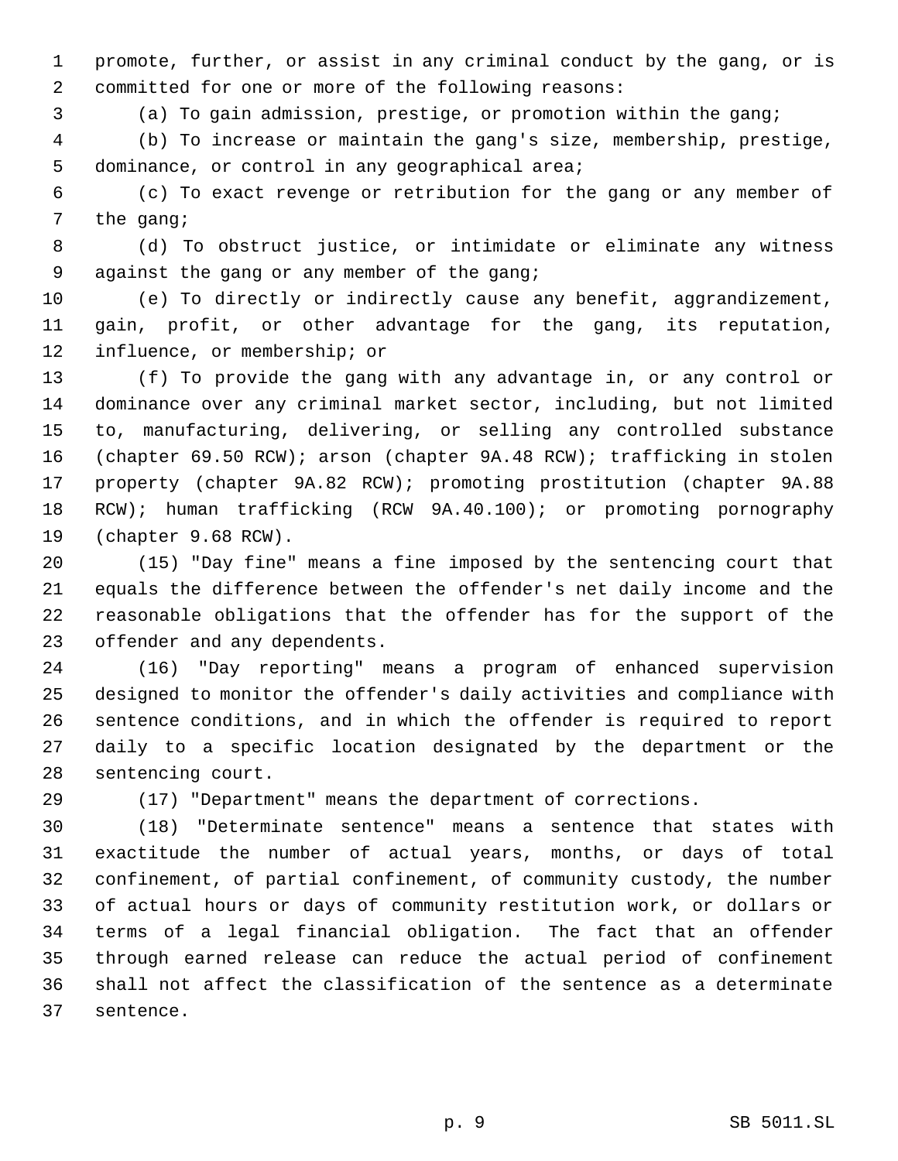promote, further, or assist in any criminal conduct by the gang, or is committed for one or more of the following reasons:

(a) To gain admission, prestige, or promotion within the gang;

 (b) To increase or maintain the gang's size, membership, prestige, dominance, or control in any geographical area;

 (c) To exact revenge or retribution for the gang or any member of the gang;

 (d) To obstruct justice, or intimidate or eliminate any witness against the gang or any member of the gang;

 (e) To directly or indirectly cause any benefit, aggrandizement, gain, profit, or other advantage for the gang, its reputation, influence, or membership; or

 (f) To provide the gang with any advantage in, or any control or dominance over any criminal market sector, including, but not limited to, manufacturing, delivering, or selling any controlled substance (chapter 69.50 RCW); arson (chapter 9A.48 RCW); trafficking in stolen property (chapter 9A.82 RCW); promoting prostitution (chapter 9A.88 RCW); human trafficking (RCW 9A.40.100); or promoting pornography (chapter 9.68 RCW).

 (15) "Day fine" means a fine imposed by the sentencing court that equals the difference between the offender's net daily income and the reasonable obligations that the offender has for the support of the offender and any dependents.

 (16) "Day reporting" means a program of enhanced supervision designed to monitor the offender's daily activities and compliance with sentence conditions, and in which the offender is required to report daily to a specific location designated by the department or the sentencing court.

(17) "Department" means the department of corrections.

 (18) "Determinate sentence" means a sentence that states with exactitude the number of actual years, months, or days of total confinement, of partial confinement, of community custody, the number of actual hours or days of community restitution work, or dollars or terms of a legal financial obligation. The fact that an offender through earned release can reduce the actual period of confinement shall not affect the classification of the sentence as a determinate sentence.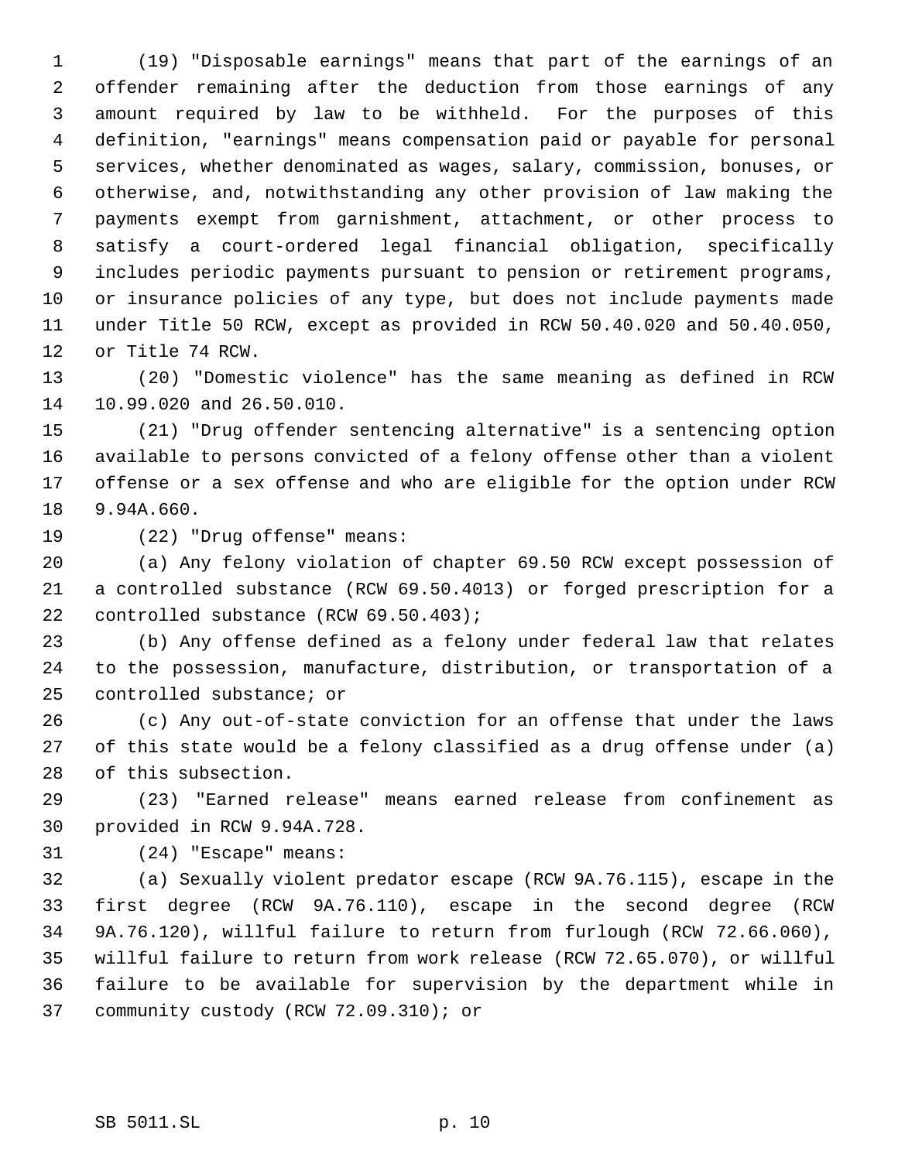(19) "Disposable earnings" means that part of the earnings of an offender remaining after the deduction from those earnings of any amount required by law to be withheld. For the purposes of this definition, "earnings" means compensation paid or payable for personal services, whether denominated as wages, salary, commission, bonuses, or otherwise, and, notwithstanding any other provision of law making the payments exempt from garnishment, attachment, or other process to satisfy a court-ordered legal financial obligation, specifically includes periodic payments pursuant to pension or retirement programs, or insurance policies of any type, but does not include payments made under Title 50 RCW, except as provided in RCW 50.40.020 and 50.40.050, or Title 74 RCW.

 (20) "Domestic violence" has the same meaning as defined in RCW 10.99.020 and 26.50.010.

 (21) "Drug offender sentencing alternative" is a sentencing option available to persons convicted of a felony offense other than a violent offense or a sex offense and who are eligible for the option under RCW 9.94A.660.

(22) "Drug offense" means:

 (a) Any felony violation of chapter 69.50 RCW except possession of a controlled substance (RCW 69.50.4013) or forged prescription for a controlled substance (RCW 69.50.403);

 (b) Any offense defined as a felony under federal law that relates to the possession, manufacture, distribution, or transportation of a controlled substance; or

 (c) Any out-of-state conviction for an offense that under the laws of this state would be a felony classified as a drug offense under (a) of this subsection.

 (23) "Earned release" means earned release from confinement as provided in RCW 9.94A.728.

(24) "Escape" means:

 (a) Sexually violent predator escape (RCW 9A.76.115), escape in the first degree (RCW 9A.76.110), escape in the second degree (RCW 9A.76.120), willful failure to return from furlough (RCW 72.66.060), willful failure to return from work release (RCW 72.65.070), or willful failure to be available for supervision by the department while in community custody (RCW 72.09.310); or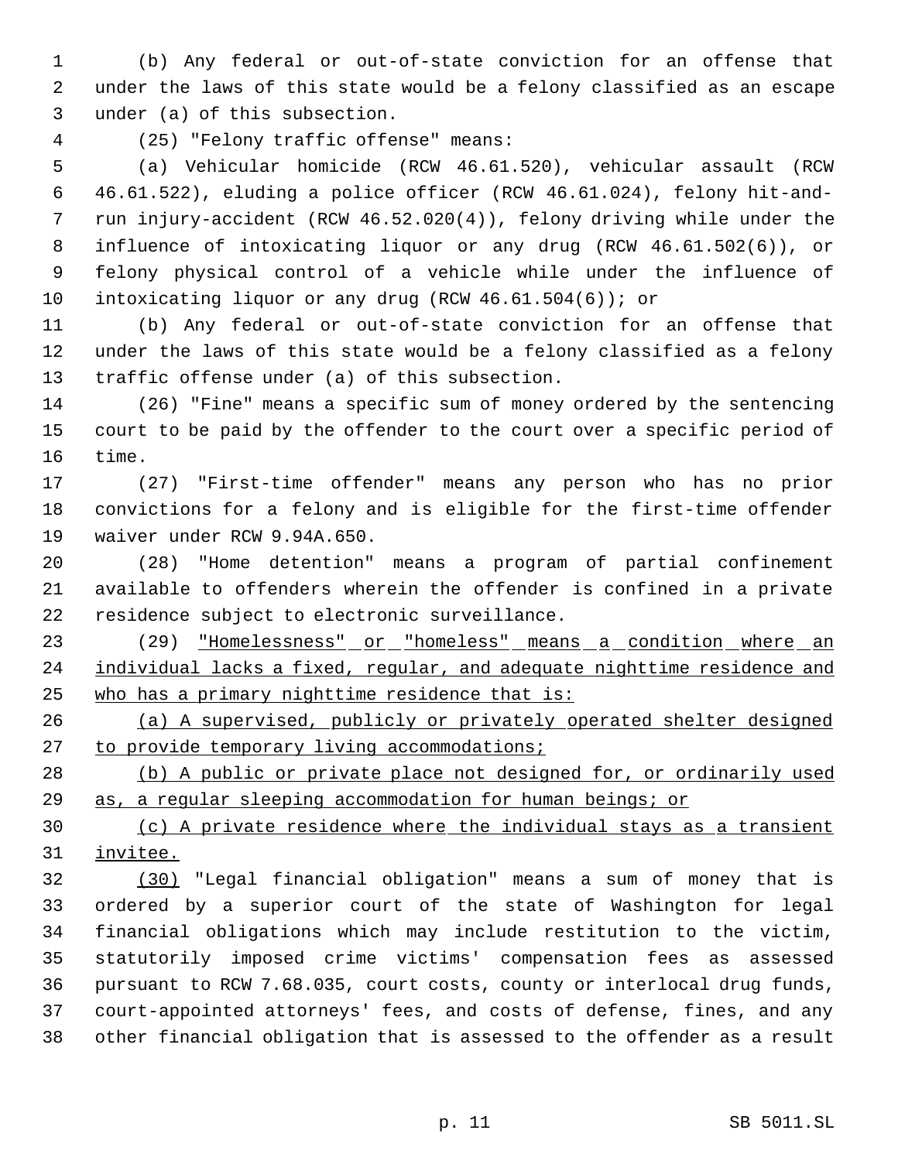(b) Any federal or out-of-state conviction for an offense that under the laws of this state would be a felony classified as an escape under (a) of this subsection.

(25) "Felony traffic offense" means:

 (a) Vehicular homicide (RCW 46.61.520), vehicular assault (RCW 46.61.522), eluding a police officer (RCW 46.61.024), felony hit-and- run injury-accident (RCW 46.52.020(4)), felony driving while under the influence of intoxicating liquor or any drug (RCW 46.61.502(6)), or felony physical control of a vehicle while under the influence of intoxicating liquor or any drug (RCW 46.61.504(6)); or

 (b) Any federal or out-of-state conviction for an offense that under the laws of this state would be a felony classified as a felony traffic offense under (a) of this subsection.

 (26) "Fine" means a specific sum of money ordered by the sentencing court to be paid by the offender to the court over a specific period of time.

 (27) "First-time offender" means any person who has no prior convictions for a felony and is eligible for the first-time offender waiver under RCW 9.94A.650.

 (28) "Home detention" means a program of partial confinement available to offenders wherein the offender is confined in a private residence subject to electronic surveillance.

23 (29) "Homelessness" or "homeless" means a condition where an 24 individual lacks a fixed, regular, and adequate nighttime residence and who has a primary nighttime residence that is:

 (a) A supervised, publicly or privately operated shelter designed 27 to provide temporary living accommodations;

 (b) A public or private place not designed for, or ordinarily used as, a regular sleeping accommodation for human beings; or

 (c) A private residence where the individual stays as a transient invitee.

 (30) "Legal financial obligation" means a sum of money that is ordered by a superior court of the state of Washington for legal financial obligations which may include restitution to the victim, statutorily imposed crime victims' compensation fees as assessed pursuant to RCW 7.68.035, court costs, county or interlocal drug funds, court-appointed attorneys' fees, and costs of defense, fines, and any other financial obligation that is assessed to the offender as a result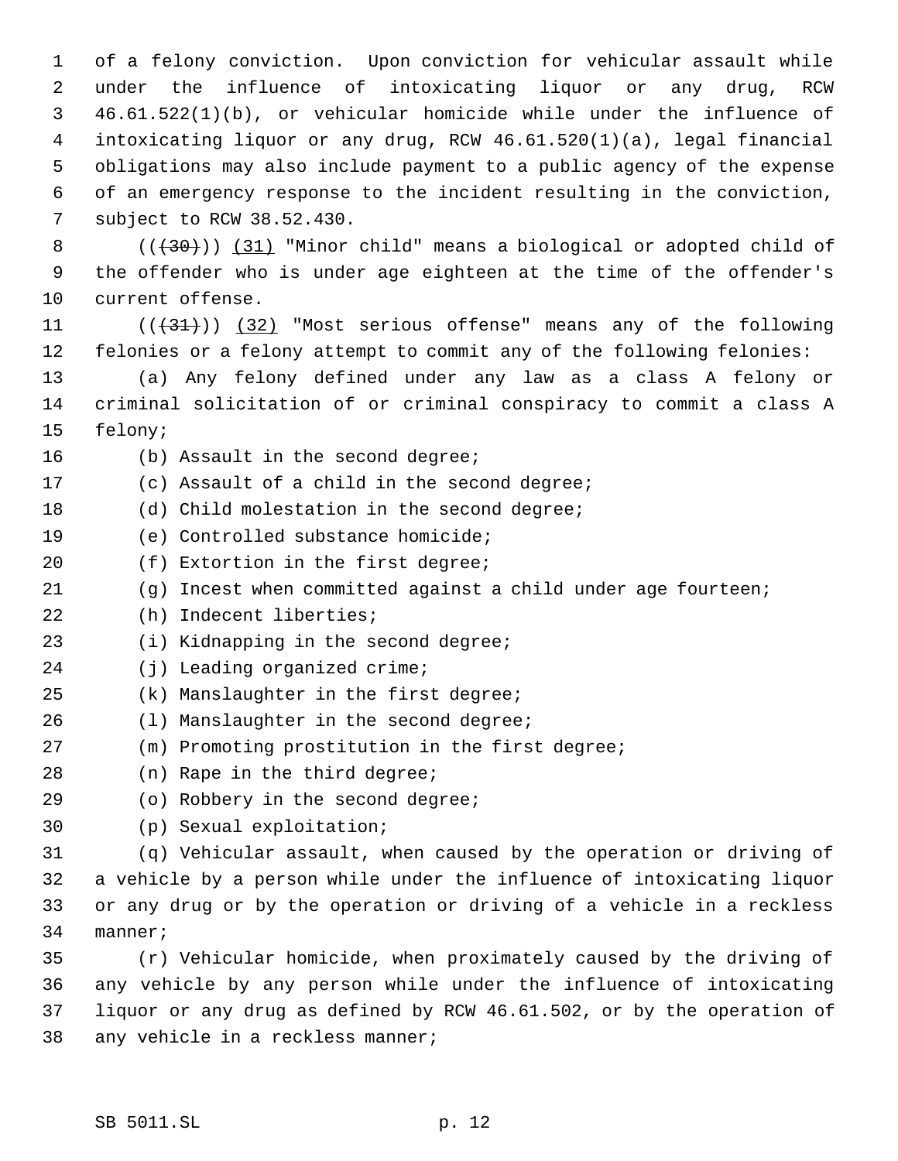of a felony conviction. Upon conviction for vehicular assault while under the influence of intoxicating liquor or any drug, RCW 46.61.522(1)(b), or vehicular homicide while under the influence of intoxicating liquor or any drug, RCW 46.61.520(1)(a), legal financial obligations may also include payment to a public agency of the expense of an emergency response to the incident resulting in the conviction, subject to RCW 38.52.430.

8 (( $(30)$ )) (31) "Minor child" means a biological or adopted child of the offender who is under age eighteen at the time of the offender's current offense.

11  $((+31))$   $(32)$  "Most serious offense" means any of the following felonies or a felony attempt to commit any of the following felonies:

 (a) Any felony defined under any law as a class A felony or criminal solicitation of or criminal conspiracy to commit a class A felony;

(b) Assault in the second degree;

(c) Assault of a child in the second degree;

18 (d) Child molestation in the second degree;

(e) Controlled substance homicide;

20 (f) Extortion in the first degree;

(g) Incest when committed against a child under age fourteen;

(h) Indecent liberties;

(i) Kidnapping in the second degree;

(j) Leading organized crime;

(k) Manslaughter in the first degree;

(l) Manslaughter in the second degree;

(m) Promoting prostitution in the first degree;

(n) Rape in the third degree;

(o) Robbery in the second degree;

(p) Sexual exploitation;

 (q) Vehicular assault, when caused by the operation or driving of a vehicle by a person while under the influence of intoxicating liquor or any drug or by the operation or driving of a vehicle in a reckless manner;

 (r) Vehicular homicide, when proximately caused by the driving of any vehicle by any person while under the influence of intoxicating liquor or any drug as defined by RCW 46.61.502, or by the operation of any vehicle in a reckless manner;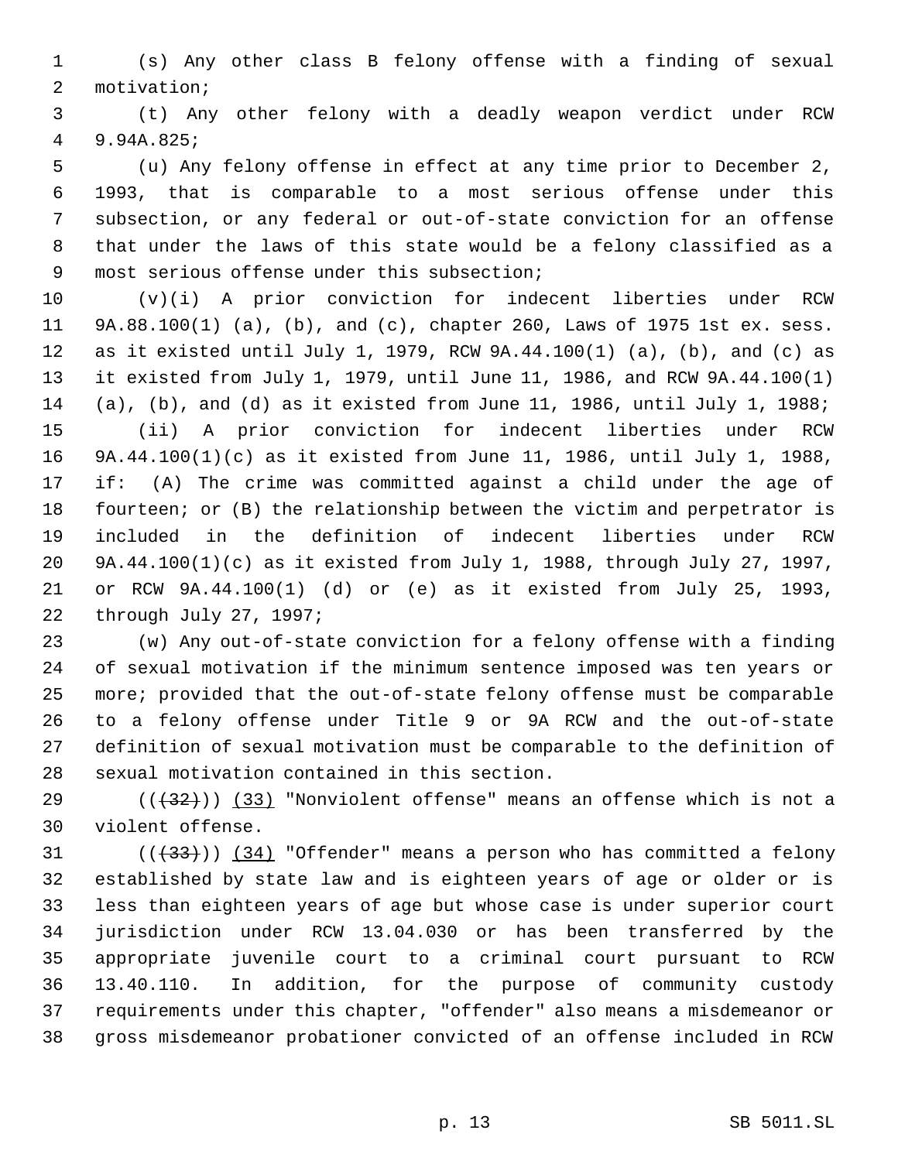(s) Any other class B felony offense with a finding of sexual motivation;

 (t) Any other felony with a deadly weapon verdict under RCW 9.94A.825;

 (u) Any felony offense in effect at any time prior to December 2, 1993, that is comparable to a most serious offense under this subsection, or any federal or out-of-state conviction for an offense that under the laws of this state would be a felony classified as a most serious offense under this subsection;

 (v)(i) A prior conviction for indecent liberties under RCW 9A.88.100(1) (a), (b), and (c), chapter 260, Laws of 1975 1st ex. sess. as it existed until July 1, 1979, RCW 9A.44.100(1) (a), (b), and (c) as it existed from July 1, 1979, until June 11, 1986, and RCW 9A.44.100(1) (a), (b), and (d) as it existed from June 11, 1986, until July 1, 1988; (ii) A prior conviction for indecent liberties under RCW 9A.44.100(1)(c) as it existed from June 11, 1986, until July 1, 1988, if: (A) The crime was committed against a child under the age of fourteen; or (B) the relationship between the victim and perpetrator is included in the definition of indecent liberties under RCW 9A.44.100(1)(c) as it existed from July 1, 1988, through July 27, 1997, or RCW 9A.44.100(1) (d) or (e) as it existed from July 25, 1993, through July 27, 1997;

 (w) Any out-of-state conviction for a felony offense with a finding of sexual motivation if the minimum sentence imposed was ten years or more; provided that the out-of-state felony offense must be comparable to a felony offense under Title 9 or 9A RCW and the out-of-state definition of sexual motivation must be comparable to the definition of sexual motivation contained in this section.

29  $((+32))$   $(33)$  "Nonviolent offense" means an offense which is not a violent offense.

 $((33))$   $(34)$  "Offender" means a person who has committed a felony established by state law and is eighteen years of age or older or is less than eighteen years of age but whose case is under superior court jurisdiction under RCW 13.04.030 or has been transferred by the appropriate juvenile court to a criminal court pursuant to RCW 13.40.110. In addition, for the purpose of community custody requirements under this chapter, "offender" also means a misdemeanor or gross misdemeanor probationer convicted of an offense included in RCW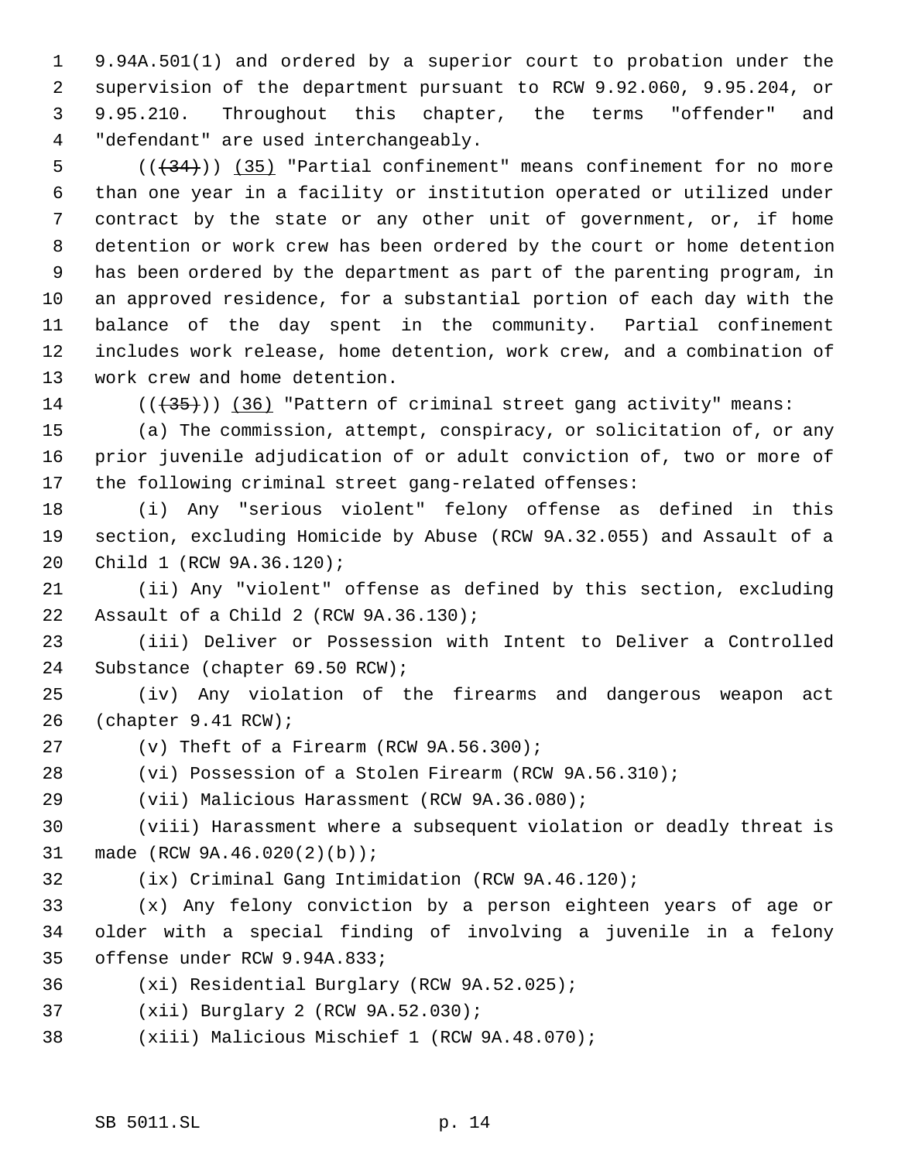9.94A.501(1) and ordered by a superior court to probation under the supervision of the department pursuant to RCW 9.92.060, 9.95.204, or 9.95.210. Throughout this chapter, the terms "offender" and "defendant" are used interchangeably.

 (( $\left(\frac{1}{34}\right)$ ) (35) "Partial confinement" means confinement for no more than one year in a facility or institution operated or utilized under contract by the state or any other unit of government, or, if home detention or work crew has been ordered by the court or home detention has been ordered by the department as part of the parenting program, in an approved residence, for a substantial portion of each day with the balance of the day spent in the community. Partial confinement includes work release, home detention, work crew, and a combination of work crew and home detention.

14  $((+35))$  (36) "Pattern of criminal street gang activity" means:

 (a) The commission, attempt, conspiracy, or solicitation of, or any prior juvenile adjudication of or adult conviction of, two or more of the following criminal street gang-related offenses:

 (i) Any "serious violent" felony offense as defined in this section, excluding Homicide by Abuse (RCW 9A.32.055) and Assault of a Child 1 (RCW 9A.36.120);

 (ii) Any "violent" offense as defined by this section, excluding Assault of a Child 2 (RCW 9A.36.130);

 (iii) Deliver or Possession with Intent to Deliver a Controlled Substance (chapter 69.50 RCW);

 (iv) Any violation of the firearms and dangerous weapon act (chapter 9.41 RCW);

(v) Theft of a Firearm (RCW 9A.56.300);

(vi) Possession of a Stolen Firearm (RCW 9A.56.310);

(vii) Malicious Harassment (RCW 9A.36.080);

 (viii) Harassment where a subsequent violation or deadly threat is made (RCW 9A.46.020(2)(b));

(ix) Criminal Gang Intimidation (RCW 9A.46.120);

 (x) Any felony conviction by a person eighteen years of age or older with a special finding of involving a juvenile in a felony offense under RCW 9.94A.833;

(xi) Residential Burglary (RCW 9A.52.025);

(xii) Burglary 2 (RCW 9A.52.030);

(xiii) Malicious Mischief 1 (RCW 9A.48.070);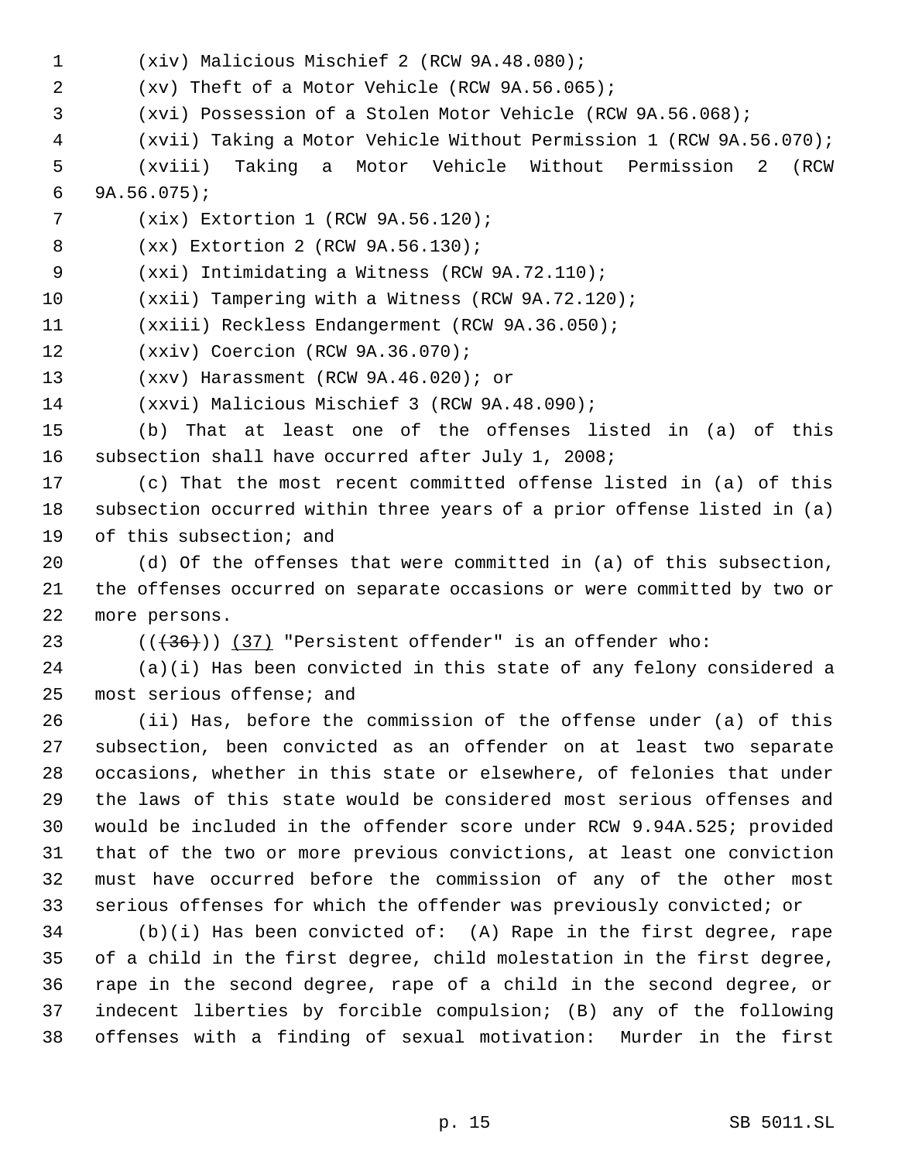- (xiv) Malicious Mischief 2 (RCW 9A.48.080);
- (xv) Theft of a Motor Vehicle (RCW 9A.56.065);
- (xvi) Possession of a Stolen Motor Vehicle (RCW 9A.56.068);
- (xvii) Taking a Motor Vehicle Without Permission 1 (RCW 9A.56.070);

 (xviii) Taking a Motor Vehicle Without Permission 2 (RCW 9A.56.075);

- (xix) Extortion 1 (RCW 9A.56.120);
- (xx) Extortion 2 (RCW 9A.56.130);
- (xxi) Intimidating a Witness (RCW 9A.72.110);
- (xxii) Tampering with a Witness (RCW 9A.72.120);

(xxiii) Reckless Endangerment (RCW 9A.36.050);

- (xxiv) Coercion (RCW 9A.36.070);
- (xxv) Harassment (RCW 9A.46.020); or
- (xxvi) Malicious Mischief 3 (RCW 9A.48.090);

 (b) That at least one of the offenses listed in (a) of this subsection shall have occurred after July 1, 2008;

 (c) That the most recent committed offense listed in (a) of this subsection occurred within three years of a prior offense listed in (a) of this subsection; and

 (d) Of the offenses that were committed in (a) of this subsection, the offenses occurred on separate occasions or were committed by two or more persons.

23  $((+36))$   $(37)$  "Persistent offender" is an offender who:

 (a)(i) Has been convicted in this state of any felony considered a most serious offense; and

 (ii) Has, before the commission of the offense under (a) of this subsection, been convicted as an offender on at least two separate occasions, whether in this state or elsewhere, of felonies that under the laws of this state would be considered most serious offenses and would be included in the offender score under RCW 9.94A.525; provided that of the two or more previous convictions, at least one conviction must have occurred before the commission of any of the other most serious offenses for which the offender was previously convicted; or

 (b)(i) Has been convicted of: (A) Rape in the first degree, rape of a child in the first degree, child molestation in the first degree, rape in the second degree, rape of a child in the second degree, or indecent liberties by forcible compulsion; (B) any of the following offenses with a finding of sexual motivation: Murder in the first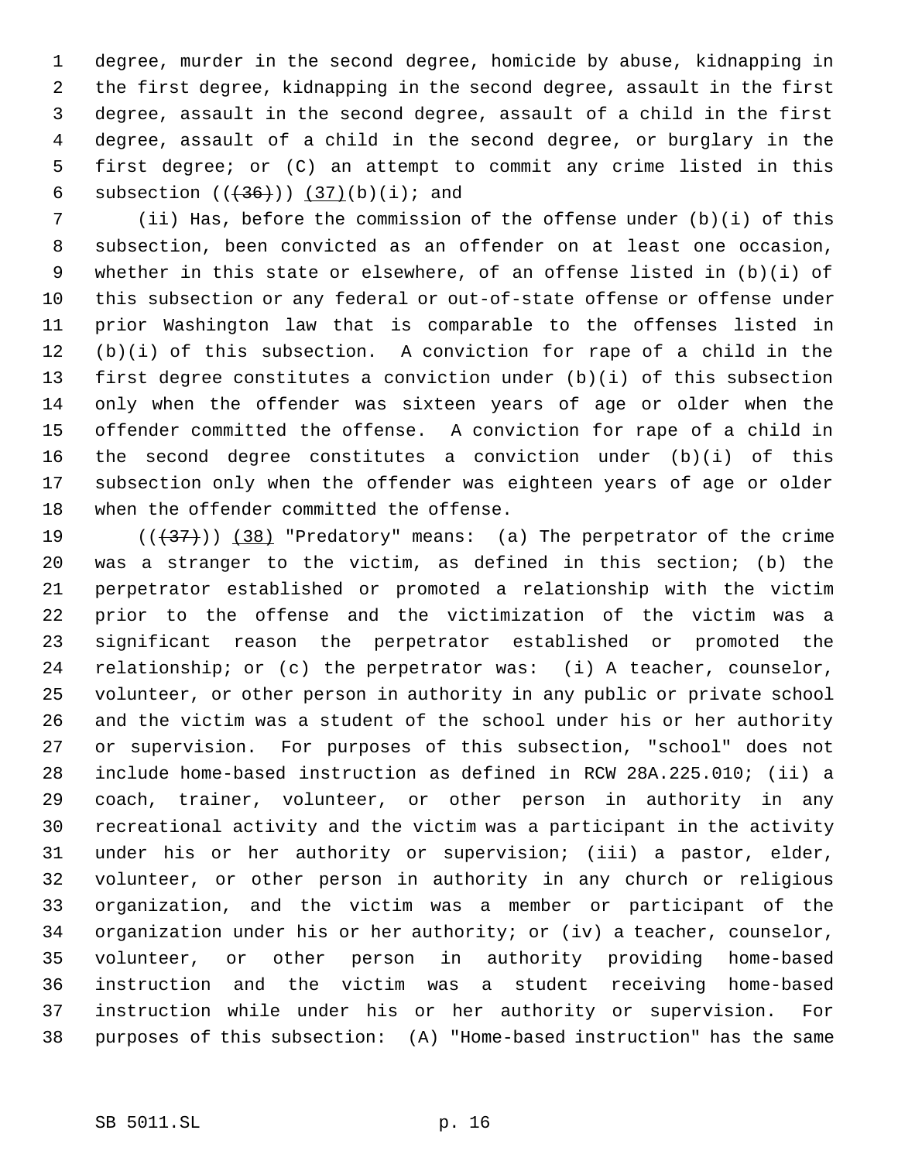degree, murder in the second degree, homicide by abuse, kidnapping in the first degree, kidnapping in the second degree, assault in the first degree, assault in the second degree, assault of a child in the first degree, assault of a child in the second degree, or burglary in the first degree; or (C) an attempt to commit any crime listed in this 6 subsection  $((+36))$   $(37)(b)(i)$ ; and

 (ii) Has, before the commission of the offense under (b)(i) of this subsection, been convicted as an offender on at least one occasion, whether in this state or elsewhere, of an offense listed in (b)(i) of this subsection or any federal or out-of-state offense or offense under prior Washington law that is comparable to the offenses listed in (b)(i) of this subsection. A conviction for rape of a child in the first degree constitutes a conviction under (b)(i) of this subsection only when the offender was sixteen years of age or older when the offender committed the offense. A conviction for rape of a child in the second degree constitutes a conviction under (b)(i) of this subsection only when the offender was eighteen years of age or older when the offender committed the offense.

 $((+37))$   $(38)$  "Predatory" means: (a) The perpetrator of the crime was a stranger to the victim, as defined in this section; (b) the perpetrator established or promoted a relationship with the victim prior to the offense and the victimization of the victim was a significant reason the perpetrator established or promoted the relationship; or (c) the perpetrator was: (i) A teacher, counselor, volunteer, or other person in authority in any public or private school and the victim was a student of the school under his or her authority or supervision. For purposes of this subsection, "school" does not include home-based instruction as defined in RCW 28A.225.010; (ii) a coach, trainer, volunteer, or other person in authority in any recreational activity and the victim was a participant in the activity under his or her authority or supervision; (iii) a pastor, elder, volunteer, or other person in authority in any church or religious organization, and the victim was a member or participant of the organization under his or her authority; or (iv) a teacher, counselor, volunteer, or other person in authority providing home-based instruction and the victim was a student receiving home-based instruction while under his or her authority or supervision. For purposes of this subsection: (A) "Home-based instruction" has the same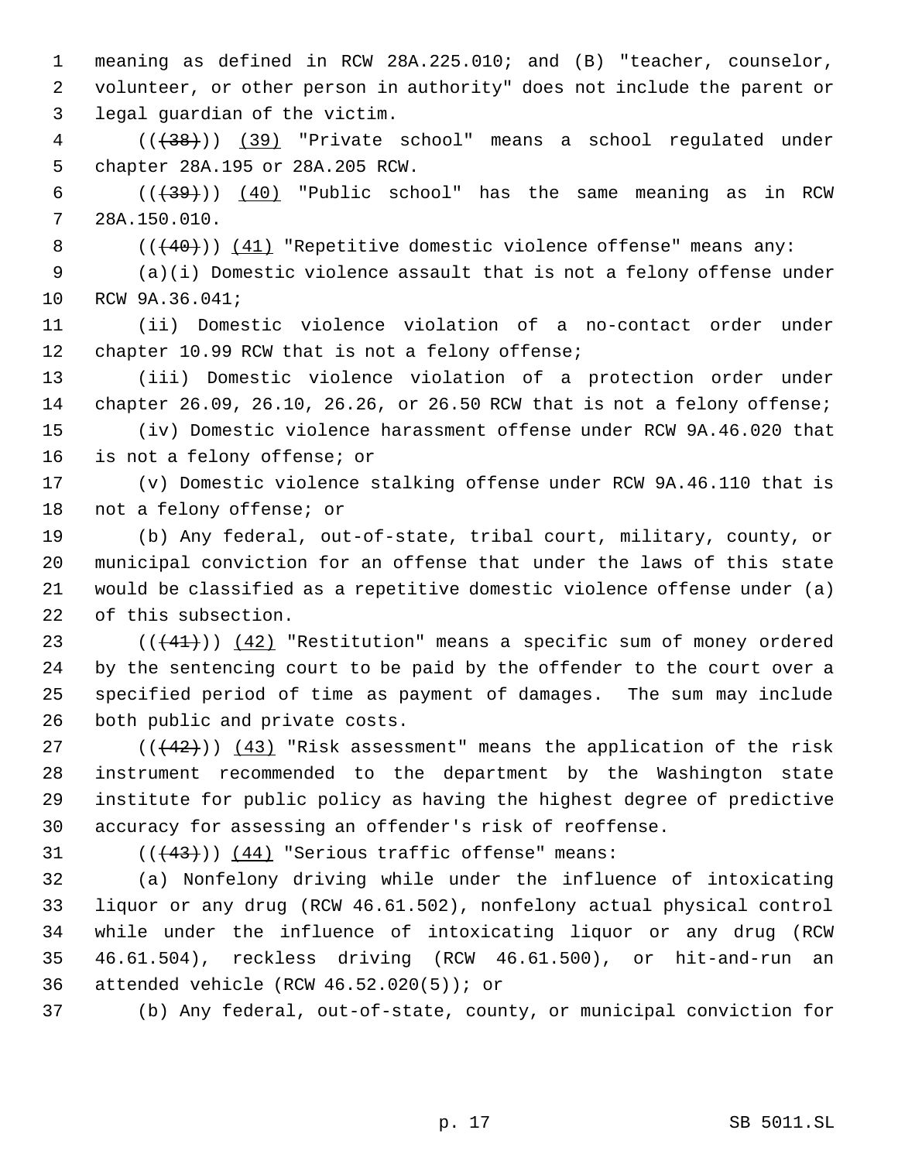meaning as defined in RCW 28A.225.010; and (B) "teacher, counselor, volunteer, or other person in authority" does not include the parent or legal guardian of the victim.

 (((38))) (39) "Private school" means a school regulated under chapter 28A.195 or 28A.205 RCW.

 $((+39))$   $(40)$  "Public school" has the same meaning as in RCW 28A.150.010.

8 (( $(40)$ )) (41) "Repetitive domestic violence offense" means any:

 (a)(i) Domestic violence assault that is not a felony offense under RCW 9A.36.041;

 (ii) Domestic violence violation of a no-contact order under chapter 10.99 RCW that is not a felony offense;

 (iii) Domestic violence violation of a protection order under chapter 26.09, 26.10, 26.26, or 26.50 RCW that is not a felony offense; (iv) Domestic violence harassment offense under RCW 9A.46.020 that

is not a felony offense; or

 (v) Domestic violence stalking offense under RCW 9A.46.110 that is not a felony offense; or

 (b) Any federal, out-of-state, tribal court, military, county, or municipal conviction for an offense that under the laws of this state would be classified as a repetitive domestic violence offense under (a) of this subsection.

 $((+41))$   $(42)$  "Restitution" means a specific sum of money ordered by the sentencing court to be paid by the offender to the court over a specified period of time as payment of damages. The sum may include both public and private costs.

27 ( $(\frac{42}{1})$ )  $\frac{43}{1}$  "Risk assessment" means the application of the risk instrument recommended to the department by the Washington state institute for public policy as having the highest degree of predictive accuracy for assessing an offender's risk of reoffense.

31  $((43))$   $(44)$  "Serious traffic offense" means:

 (a) Nonfelony driving while under the influence of intoxicating liquor or any drug (RCW 46.61.502), nonfelony actual physical control while under the influence of intoxicating liquor or any drug (RCW 46.61.504), reckless driving (RCW 46.61.500), or hit-and-run an attended vehicle (RCW 46.52.020(5)); or

(b) Any federal, out-of-state, county, or municipal conviction for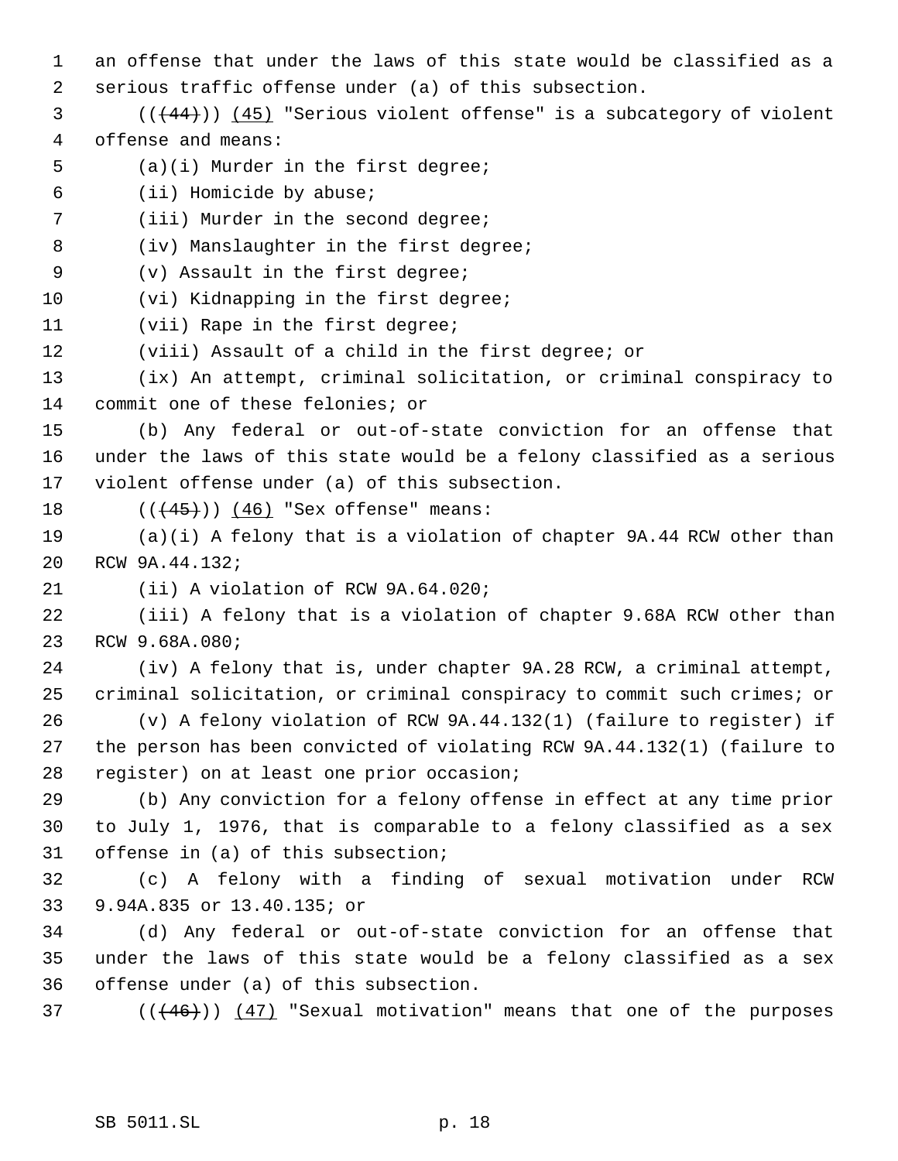- an offense that under the laws of this state would be classified as a serious traffic offense under (a) of this subsection.
- (( $(44)$ )) (45) "Serious violent offense" is a subcategory of violent offense and means:
- (a)(i) Murder in the first degree;
- (ii) Homicide by abuse;
- (iii) Murder in the second degree;
- 8 (iv) Manslaughter in the first degree;
- (v) Assault in the first degree;
- 10 (vi) Kidnapping in the first degree;
- (vii) Rape in the first degree;
- (viii) Assault of a child in the first degree; or

 (ix) An attempt, criminal solicitation, or criminal conspiracy to 14 commit one of these felonies; or

 (b) Any federal or out-of-state conviction for an offense that under the laws of this state would be a felony classified as a serious violent offense under (a) of this subsection.

18  $((+45))$  (46) "Sex offense" means:

 (a)(i) A felony that is a violation of chapter 9A.44 RCW other than RCW 9A.44.132;

(ii) A violation of RCW 9A.64.020;

 (iii) A felony that is a violation of chapter 9.68A RCW other than RCW 9.68A.080;

 (iv) A felony that is, under chapter 9A.28 RCW, a criminal attempt, criminal solicitation, or criminal conspiracy to commit such crimes; or

 (v) A felony violation of RCW 9A.44.132(1) (failure to register) if the person has been convicted of violating RCW 9A.44.132(1) (failure to register) on at least one prior occasion;

 (b) Any conviction for a felony offense in effect at any time prior to July 1, 1976, that is comparable to a felony classified as a sex offense in (a) of this subsection;

 (c) A felony with a finding of sexual motivation under RCW 9.94A.835 or 13.40.135; or

 (d) Any federal or out-of-state conviction for an offense that under the laws of this state would be a felony classified as a sex offense under (a) of this subsection.

37  $((46))$   $(47)$  "Sexual motivation" means that one of the purposes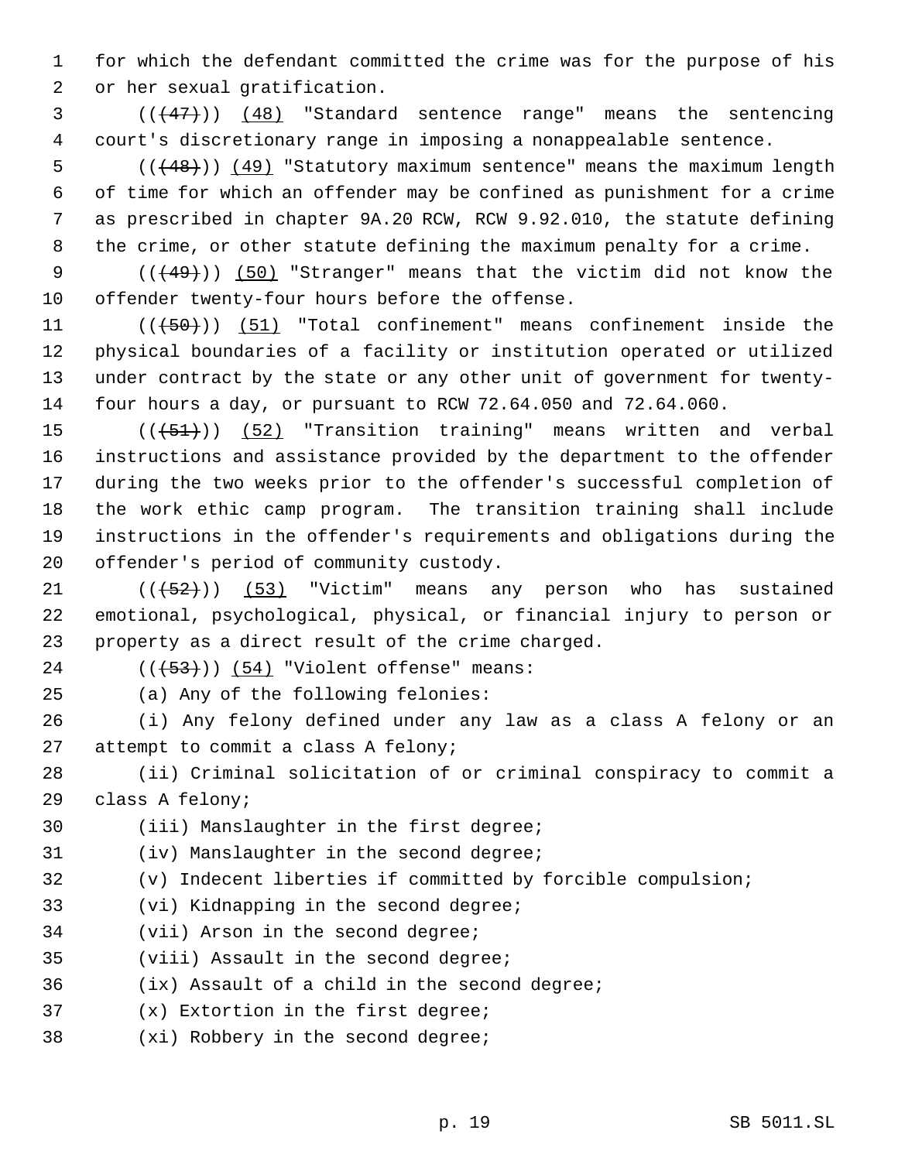for which the defendant committed the crime was for the purpose of his or her sexual gratification.

3  $((447))$  (48) "Standard sentence range" means the sentencing court's discretionary range in imposing a nonappealable sentence.

5 (( $(48)$ )) (49) "Statutory maximum sentence" means the maximum length of time for which an offender may be confined as punishment for a crime as prescribed in chapter 9A.20 RCW, RCW 9.92.010, the statute defining the crime, or other statute defining the maximum penalty for a crime.

9 (( $\left(\frac{49}{1}\right)$ ) (50) "Stranger" means that the victim did not know the offender twenty-four hours before the offense.

11 (( $(50)$ )) (51) "Total confinement" means confinement inside the physical boundaries of a facility or institution operated or utilized under contract by the state or any other unit of government for twenty-four hours a day, or pursuant to RCW 72.64.050 and 72.64.060.

15 (((51)) (52) "Transition training" means written and verbal instructions and assistance provided by the department to the offender during the two weeks prior to the offender's successful completion of the work ethic camp program. The transition training shall include instructions in the offender's requirements and obligations during the offender's period of community custody.

 $(1$   $(1, 52)$ )  $(53)$  "Victim" means any person who has sustained emotional, psychological, physical, or financial injury to person or property as a direct result of the crime charged.

24  $((\overline{53}))(\overline{54})$  "Violent offense" means:

(a) Any of the following felonies:

 (i) Any felony defined under any law as a class A felony or an attempt to commit a class A felony;

 (ii) Criminal solicitation of or criminal conspiracy to commit a class A felony;

(iii) Manslaughter in the first degree;

(iv) Manslaughter in the second degree;

(v) Indecent liberties if committed by forcible compulsion;

(vi) Kidnapping in the second degree;

(vii) Arson in the second degree;

(viii) Assault in the second degree;

(ix) Assault of a child in the second degree;

(x) Extortion in the first degree;

(xi) Robbery in the second degree;